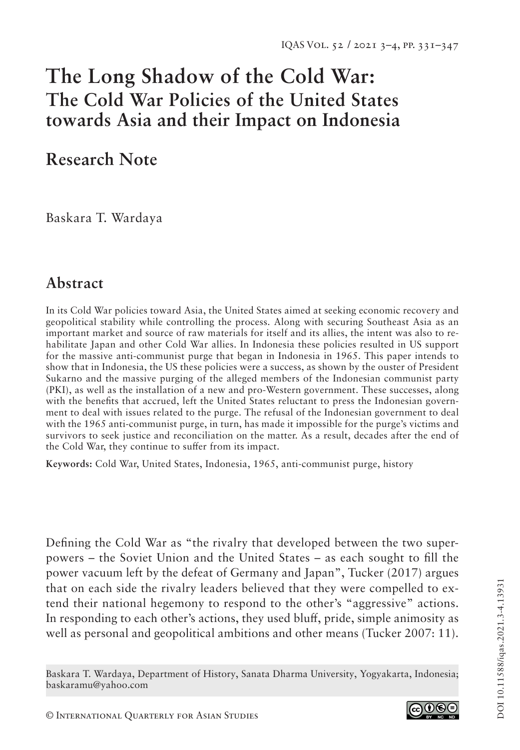# **The Long Shadow of the Cold War: The Cold War Policies of the United States towards Asia and their Impact on Indonesia**

# **Research Note**

Baskara T. Wardaya

# **Abstract**

In its Cold War policies toward Asia, the United States aimed at seeking economic recovery and geopolitical stability while controlling the process. Along with securing Southeast Asia as an important market and source of raw materials for itself and its allies, the intent was also to rehabilitate Japan and other Cold War allies. In Indonesia these policies resulted in US support for the massive anti-communist purge that began in Indonesia in 1965. This paper intends to show that in Indonesia, the US these policies were a success, as shown by the ouster of President Sukarno and the massive purging of the alleged members of the Indonesian communist party (PKI), as well as the installation of a new and pro-Western government. These successes, along with the benefits that accrued, left the United States reluctant to press the Indonesian government to deal with issues related to the purge. The refusal of the Indonesian government to deal with the 1965 anti-communist purge, in turn, has made it impossible for the purge's victims and survivors to seek justice and reconciliation on the matter. As a result, decades after the end of the Cold War, they continue to suffer from its impact.

**Keywords:** Cold War, United States, Indonesia, 1965, anti-communist purge, history

Defining the Cold War as "the rivalry that developed between the two superpowers – the Soviet Union and the United States – as each sought to fill the power vacuum left by the defeat of Germany and Japan", Tucker (2017) argues that on each side the rivalry leaders believed that they were compelled to extend their national hegemony to respond to the other's "aggressive" actions. In responding to each other's actions, they used bluff, pride, simple animosity as well as personal and geopolitical ambitions and other means (Tucker 2007: 11).

Baskara T. Wardaya, Department of History, Sanata Dharma University, Yogyakarta, Indonesia; baskaramu@yahoo.com

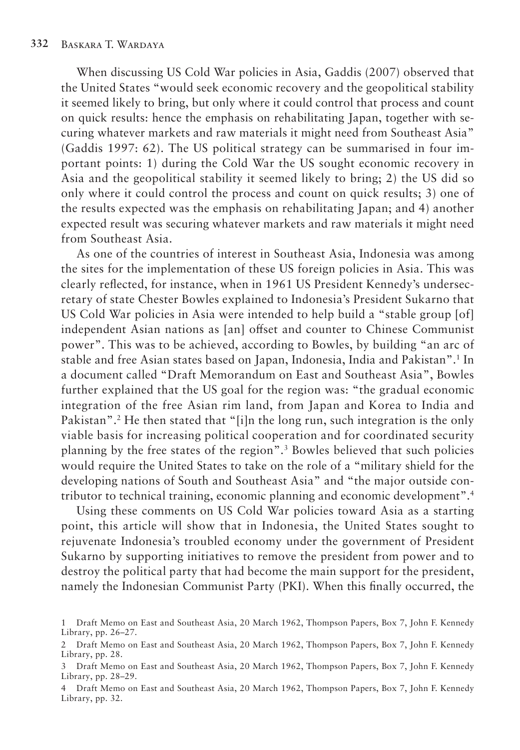When discussing US Cold War policies in Asia, Gaddis (2007) observed that the United States "would seek economic recovery and the geopolitical stability it seemed likely to bring, but only where it could control that process and count on quick results: hence the emphasis on rehabilitating Japan, together with securing whatever markets and raw materials it might need from Southeast Asia" (Gaddis 1997: 62). The US political strategy can be summarised in four important points: 1) during the Cold War the US sought economic recovery in Asia and the geopolitical stability it seemed likely to bring; 2) the US did so only where it could control the process and count on quick results; 3) one of the results expected was the emphasis on rehabilitating Japan; and 4) another expected result was securing whatever markets and raw materials it might need from Southeast Asia.

As one of the countries of interest in Southeast Asia, Indonesia was among the sites for the implementation of these US foreign policies in Asia. This was clearly reflected, for instance, when in 1961 US President Kennedy's undersecretary of state Chester Bowles explained to Indonesia's President Sukarno that US Cold War policies in Asia were intended to help build a "stable group [of] independent Asian nations as [an] offset and counter to Chinese Communist power". This was to be achieved, according to Bowles, by building "an arc of stable and free Asian states based on Japan, Indonesia, India and Pakistan".1 In a document called "Draft Memorandum on East and Southeast Asia", Bowles further explained that the US goal for the region was: "the gradual economic integration of the free Asian rim land, from Japan and Korea to India and Pakistan".2 He then stated that "[i]n the long run, such integration is the only viable basis for increasing political cooperation and for coordinated security planning by the free states of the region".3 Bowles believed that such policies would require the United States to take on the role of a "military shield for the developing nations of South and Southeast Asia" and "the major outside contributor to technical training, economic planning and economic development".4

Using these comments on US Cold War policies toward Asia as a starting point, this article will show that in Indonesia, the United States sought to rejuvenate Indonesia's troubled economy under the government of President Sukarno by supporting initiatives to remove the president from power and to destroy the political party that had become the main support for the president, namely the Indonesian Communist Party (PKI). When this finally occurred, the

<sup>1</sup> Draft Memo on East and Southeast Asia, 20 March 1962, Thompson Papers, Box 7, John F. Kennedy Library, pp. 26–27.

<sup>2</sup> Draft Memo on East and Southeast Asia, 20 March 1962, Thompson Papers, Box 7, John F. Kennedy Library, pp. 28.

<sup>3</sup> Draft Memo on East and Southeast Asia, 20 March 1962, Thompson Papers, Box 7, John F. Kennedy Library, pp. 28–29.

<sup>4</sup> Draft Memo on East and Southeast Asia, 20 March 1962, Thompson Papers, Box 7, John F. Kennedy Library, pp. 32.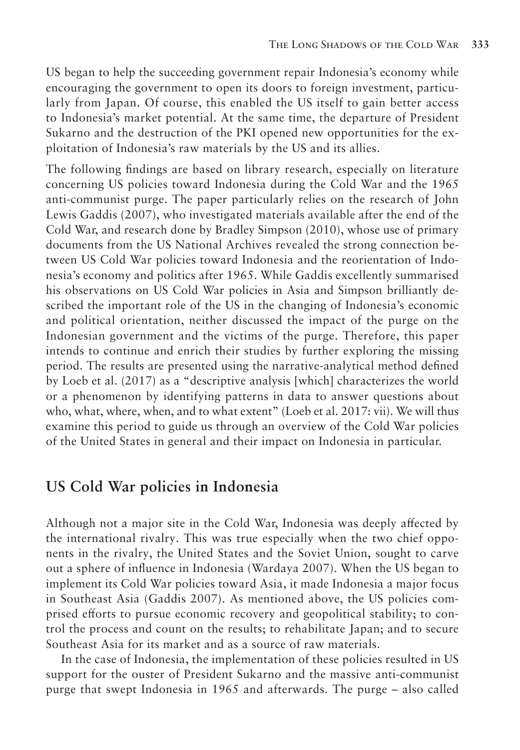US began to help the succeeding government repair Indonesia's economy while encouraging the government to open its doors to foreign investment, particularly from Japan. Of course, this enabled the US itself to gain better access to Indonesia's market potential. At the same time, the departure of President Sukarno and the destruction of the PKI opened new opportunities for the exploitation of Indonesia's raw materials by the US and its allies.

The following findings are based on library research, especially on literature concerning US policies toward Indonesia during the Cold War and the 1965 anti-communist purge. The paper particularly relies on the research of John Lewis Gaddis (2007), who investigated materials available after the end of the Cold War, and research done by Bradley Simpson (2010), whose use of primary documents from the US National Archives revealed the strong connection between US Cold War policies toward Indonesia and the reorientation of Indonesia's economy and politics after 1965. While Gaddis excellently summarised his observations on US Cold War policies in Asia and Simpson brilliantly described the important role of the US in the changing of Indonesia's economic and political orientation, neither discussed the impact of the purge on the Indonesian government and the victims of the purge. Therefore, this paper intends to continue and enrich their studies by further exploring the missing period. The results are presented using the narrative-analytical method defined by Loeb et al. (2017) as a "descriptive analysis [which] characterizes the world or a phenomenon by identifying patterns in data to answer questions about who, what, where, when, and to what extent" (Loeb et al. 2017: vii). We will thus examine this period to guide us through an overview of the Cold War policies of the United States in general and their impact on Indonesia in particular.

#### **US Cold War policies in Indonesia**

Although not a major site in the Cold War, Indonesia was deeply affected by the international rivalry. This was true especially when the two chief opponents in the rivalry, the United States and the Soviet Union, sought to carve out a sphere of influence in Indonesia (Wardaya 2007). When the US began to implement its Cold War policies toward Asia, it made Indonesia a major focus in Southeast Asia (Gaddis 2007). As mentioned above, the US policies comprised efforts to pursue economic recovery and geopolitical stability; to control the process and count on the results; to rehabilitate Japan; and to secure Southeast Asia for its market and as a source of raw materials.

In the case of Indonesia, the implementation of these policies resulted in US support for the ouster of President Sukarno and the massive anti-communist purge that swept Indonesia in 1965 and afterwards. The purge – also called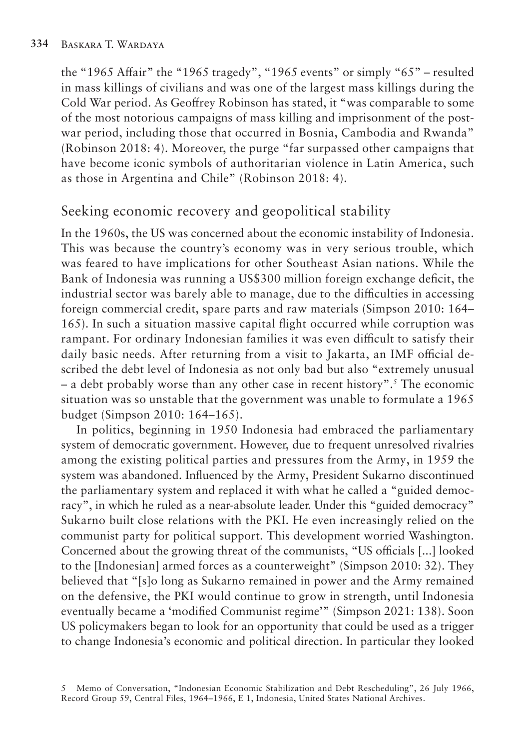the "1965 Affair" the "1965 tragedy", "1965 events" or simply "65" – resulted in mass killings of civilians and was one of the largest mass killings during the Cold War period. As Geoffrey Robinson has stated, it "was comparable to some of the most notorious campaigns of mass killing and imprisonment of the postwar period, including those that occurred in Bosnia, Cambodia and Rwanda" (Robinson 2018: 4). Moreover, the purge "far surpassed other campaigns that have become iconic symbols of authoritarian violence in Latin America, such as those in Argentina and Chile" (Robinson 2018: 4).

## Seeking economic recovery and geopolitical stability

In the 1960s, the US was concerned about the economic instability of Indonesia. This was because the country's economy was in very serious trouble, which was feared to have implications for other Southeast Asian nations. While the Bank of Indonesia was running a US\$300 million foreign exchange deficit, the industrial sector was barely able to manage, due to the difficulties in accessing foreign commercial credit, spare parts and raw materials (Simpson 2010: 164– 165). In such a situation massive capital flight occurred while corruption was rampant. For ordinary Indonesian families it was even difficult to satisfy their daily basic needs. After returning from a visit to Jakarta, an IMF official described the debt level of Indonesia as not only bad but also "extremely unusual – a debt probably worse than any other case in recent history".5 The economic situation was so unstable that the government was unable to formulate a 1965 budget (Simpson 2010: 164–165).

In politics, beginning in 1950 Indonesia had embraced the parliamentary system of democratic government. However, due to frequent unresolved rivalries among the existing political parties and pressures from the Army, in 1959 the system was abandoned. Influenced by the Army, President Sukarno discontinued the parliamentary system and replaced it with what he called a "guided democracy", in which he ruled as a near-absolute leader. Under this "guided democracy" Sukarno built close relations with the PKI. He even increasingly relied on the communist party for political support. This development worried Washington. Concerned about the growing threat of the communists, "US officials [...] looked to the [Indonesian] armed forces as a counterweight" (Simpson 2010: 32). They believed that "[s]o long as Sukarno remained in power and the Army remained on the defensive, the PKI would continue to grow in strength, until Indonesia eventually became a 'modified Communist regime'" (Simpson 2021: 138). Soon US policymakers began to look for an opportunity that could be used as a trigger to change Indonesia's economic and political direction. In particular they looked

<sup>5</sup> Memo of Conversation, "Indonesian Economic Stabilization and Debt Rescheduling", 26 July 1966, Record Group 59, Central Files, 1964–1966, E 1, Indonesia, United States National Archives.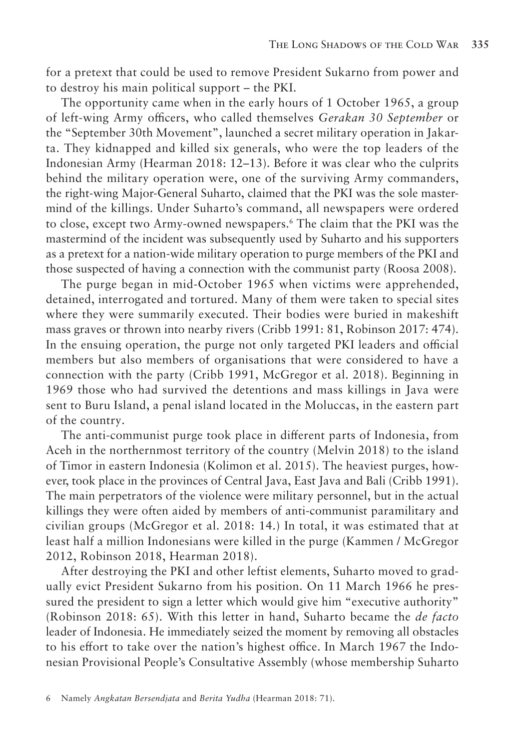for a pretext that could be used to remove President Sukarno from power and to destroy his main political support – the PKI.

The opportunity came when in the early hours of 1 October 1965, a group of left-wing Army officers, who called themselves *Gerakan 30 September* or the "September 30th Movement", launched a secret military operation in Jakarta. They kidnapped and killed six generals, who were the top leaders of the Indonesian Army (Hearman 2018: 12–13). Before it was clear who the culprits behind the military operation were, one of the surviving Army commanders, the right-wing Major-General Suharto, claimed that the PKI was the sole mastermind of the killings. Under Suharto's command, all newspapers were ordered to close, except two Army-owned newspapers.6 The claim that the PKI was the mastermind of the incident was subsequently used by Suharto and his supporters as a pretext for a nation-wide military operation to purge members of the PKI and those suspected of having a connection with the communist party (Roosa 2008).

The purge began in mid-October 1965 when victims were apprehended, detained, interrogated and tortured. Many of them were taken to special sites where they were summarily executed. Their bodies were buried in makeshift mass graves or thrown into nearby rivers (Cribb 1991: 81, Robinson 2017: 474). In the ensuing operation, the purge not only targeted PKI leaders and official members but also members of organisations that were considered to have a connection with the party (Cribb 1991, McGregor et al. 2018). Beginning in 1969 those who had survived the detentions and mass killings in Java were sent to Buru Island, a penal island located in the Moluccas, in the eastern part of the country.

The anti-communist purge took place in different parts of Indonesia, from Aceh in the northernmost territory of the country (Melvin 2018) to the island of Timor in eastern Indonesia (Kolimon et al. 2015). The heaviest purges, however, took place in the provinces of Central Java, East Java and Bali (Cribb 1991). The main perpetrators of the violence were military personnel, but in the actual killings they were often aided by members of anti-communist paramilitary and civilian groups (McGregor et al. 2018: 14.) In total, it was estimated that at least half a million Indonesians were killed in the purge (Kammen / McGregor 2012, Robinson 2018, Hearman 2018).

After destroying the PKI and other leftist elements, Suharto moved to gradually evict President Sukarno from his position. On 11 March 1966 he pressured the president to sign a letter which would give him "executive authority" (Robinson 2018: 65). With this letter in hand, Suharto became the *de facto*  leader of Indonesia. He immediately seized the moment by removing all obstacles to his effort to take over the nation's highest office. In March 1967 the Indonesian Provisional People's Consultative Assembly (whose membership Suharto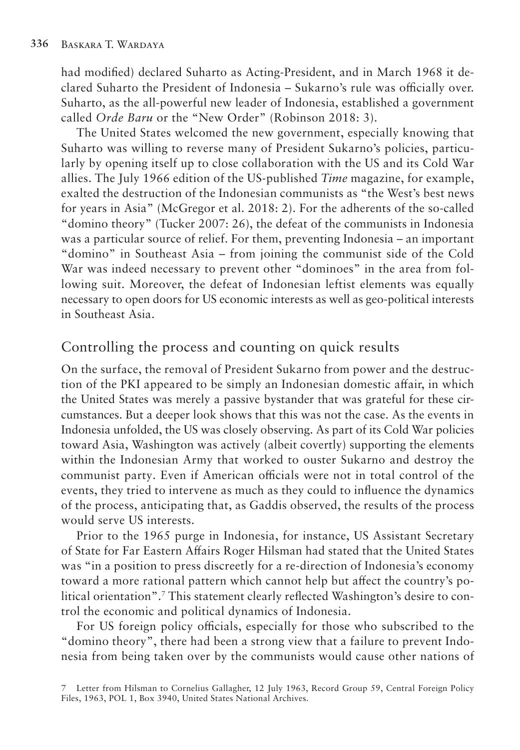had modified) declared Suharto as Acting-President, and in March 1968 it declared Suharto the President of Indonesia – Sukarno's rule was officially over. Suharto, as the all-powerful new leader of Indonesia, established a government called *Orde Baru* or the "New Order" (Robinson 2018: 3).

The United States welcomed the new government, especially knowing that Suharto was willing to reverse many of President Sukarno's policies, particularly by opening itself up to close collaboration with the US and its Cold War allies. The July 1966 edition of the US-published *Time* magazine, for example, exalted the destruction of the Indonesian communists as "the West's best news for years in Asia" (McGregor et al. 2018: 2). For the adherents of the so-called "domino theory" (Tucker 2007: 26), the defeat of the communists in Indonesia was a particular source of relief. For them, preventing Indonesia – an important "domino" in Southeast Asia – from joining the communist side of the Cold War was indeed necessary to prevent other "dominoes" in the area from following suit. Moreover, the defeat of Indonesian leftist elements was equally necessary to open doors for US economic interests as well as geo-political interests in Southeast Asia.

## Controlling the process and counting on quick results

On the surface, the removal of President Sukarno from power and the destruction of the PKI appeared to be simply an Indonesian domestic affair, in which the United States was merely a passive bystander that was grateful for these circumstances. But a deeper look shows that this was not the case. As the events in Indonesia unfolded, the US was closely observing. As part of its Cold War policies toward Asia, Washington was actively (albeit covertly) supporting the elements within the Indonesian Army that worked to ouster Sukarno and destroy the communist party. Even if American officials were not in total control of the events, they tried to intervene as much as they could to influence the dynamics of the process, anticipating that, as Gaddis observed, the results of the process would serve US interests.

Prior to the 1965 purge in Indonesia, for instance, US Assistant Secretary of State for Far Eastern Affairs Roger Hilsman had stated that the United States was "in a position to press discreetly for a re-direction of Indonesia's economy toward a more rational pattern which cannot help but affect the country's political orientation".7 This statement clearly reflected Washington's desire to control the economic and political dynamics of Indonesia.

For US foreign policy officials, especially for those who subscribed to the "domino theory", there had been a strong view that a failure to prevent Indonesia from being taken over by the communists would cause other nations of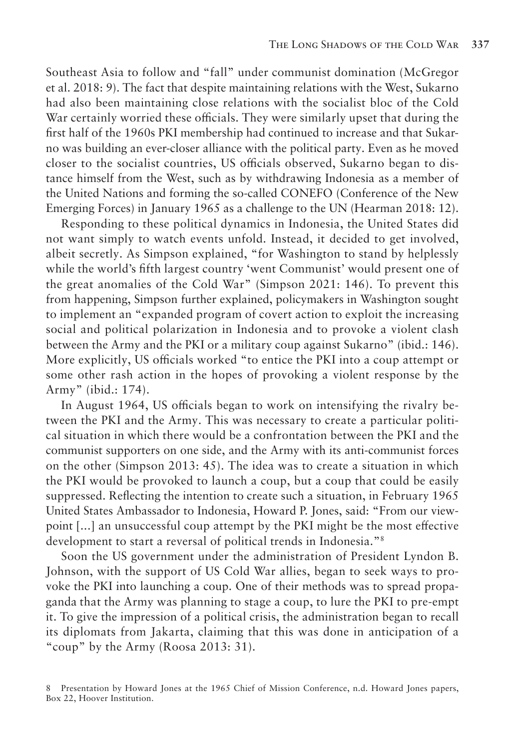Southeast Asia to follow and "fall" under communist domination (McGregor et al. 2018: 9). The fact that despite maintaining relations with the West, Sukarno had also been maintaining close relations with the socialist bloc of the Cold War certainly worried these officials. They were similarly upset that during the first half of the 1960s PKI membership had continued to increase and that Sukarno was building an ever-closer alliance with the political party. Even as he moved closer to the socialist countries, US officials observed, Sukarno began to distance himself from the West, such as by withdrawing Indonesia as a member of the United Nations and forming the so-called CONEFO (Conference of the New Emerging Forces) in January 1965 as a challenge to the UN (Hearman 2018: 12).

Responding to these political dynamics in Indonesia, the United States did not want simply to watch events unfold. Instead, it decided to get involved, albeit secretly. As Simpson explained, "for Washington to stand by helplessly while the world's fifth largest country 'went Communist' would present one of the great anomalies of the Cold War" (Simpson 2021: 146). To prevent this from happening, Simpson further explained, policymakers in Washington sought to implement an "expanded program of covert action to exploit the increasing social and political polarization in Indonesia and to provoke a violent clash between the Army and the PKI or a military coup against Sukarno" (ibid.: 146). More explicitly, US officials worked "to entice the PKI into a coup attempt or some other rash action in the hopes of provoking a violent response by the Army" (ibid.: 174).

In August 1964, US officials began to work on intensifying the rivalry between the PKI and the Army. This was necessary to create a particular political situation in which there would be a confrontation between the PKI and the communist supporters on one side, and the Army with its anti-communist forces on the other (Simpson 2013: 45). The idea was to create a situation in which the PKI would be provoked to launch a coup, but a coup that could be easily suppressed. Reflecting the intention to create such a situation, in February 1965 United States Ambassador to Indonesia, Howard P. Jones, said: "From our viewpoint [...] an unsuccessful coup attempt by the PKI might be the most effective development to start a reversal of political trends in Indonesia."8

Soon the US government under the administration of President Lyndon B. Johnson, with the support of US Cold War allies, began to seek ways to provoke the PKI into launching a coup. One of their methods was to spread propaganda that the Army was planning to stage a coup, to lure the PKI to pre-empt it. To give the impression of a political crisis, the administration began to recall its diplomats from Jakarta, claiming that this was done in anticipation of a "coup" by the Army (Roosa 2013: 31).

<sup>8</sup> Presentation by Howard Jones at the 1965 Chief of Mission Conference, n.d. Howard Jones papers, Box 22, Hoover Institution.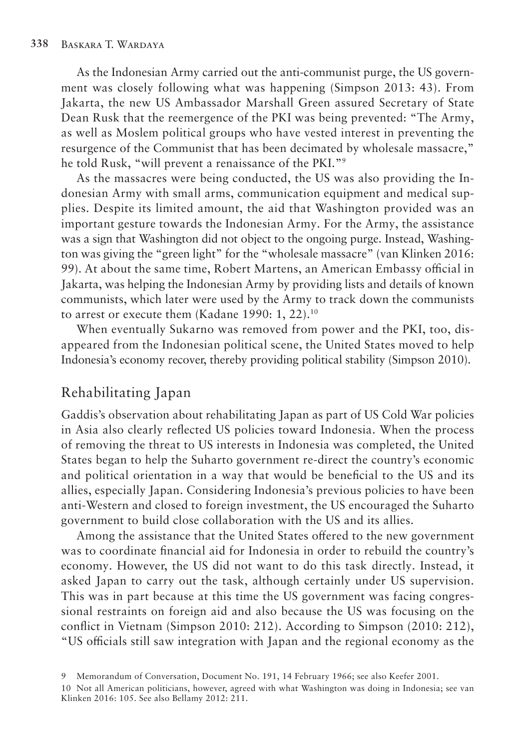As the Indonesian Army carried out the anti-communist purge, the US government was closely following what was happening (Simpson 2013: 43). From Jakarta, the new US Ambassador Marshall Green assured Secretary of State Dean Rusk that the reemergence of the PKI was being prevented: "The Army, as well as Moslem political groups who have vested interest in preventing the resurgence of the Communist that has been decimated by wholesale massacre," he told Rusk, "will prevent a renaissance of the PKI."9

As the massacres were being conducted, the US was also providing the Indonesian Army with small arms, communication equipment and medical supplies. Despite its limited amount, the aid that Washington provided was an important gesture towards the Indonesian Army. For the Army, the assistance was a sign that Washington did not object to the ongoing purge. Instead, Washington was giving the "green light" for the "wholesale massacre" (van Klinken 2016: 99). At about the same time, Robert Martens, an American Embassy official in Jakarta, was helping the Indonesian Army by providing lists and details of known communists, which later were used by the Army to track down the communists to arrest or execute them (Kadane 1990: 1, 22).<sup>10</sup>

When eventually Sukarno was removed from power and the PKI, too, disappeared from the Indonesian political scene, the United States moved to help Indonesia's economy recover, thereby providing political stability (Simpson 2010).

#### Rehabilitating Japan

Gaddis's observation about rehabilitating Japan as part of US Cold War policies in Asia also clearly reflected US policies toward Indonesia. When the process of removing the threat to US interests in Indonesia was completed, the United States began to help the Suharto government re-direct the country's economic and political orientation in a way that would be beneficial to the US and its allies, especially Japan. Considering Indonesia's previous policies to have been anti-Western and closed to foreign investment, the US encouraged the Suharto government to build close collaboration with the US and its allies.

Among the assistance that the United States offered to the new government was to coordinate financial aid for Indonesia in order to rebuild the country's economy. However, the US did not want to do this task directly. Instead, it asked Japan to carry out the task, although certainly under US supervision. This was in part because at this time the US government was facing congressional restraints on foreign aid and also because the US was focusing on the conflict in Vietnam (Simpson 2010: 212). According to Simpson (2010: 212), "US officials still saw integration with Japan and the regional economy as the

<sup>9</sup> Memorandum of Conversation, Document No. 191, 14 February 1966; see also Keefer 2001.

<sup>10</sup> Not all American politicians, however, agreed with what Washington was doing in Indonesia; see van Klinken 2016: 105. See also Bellamy 2012: 211.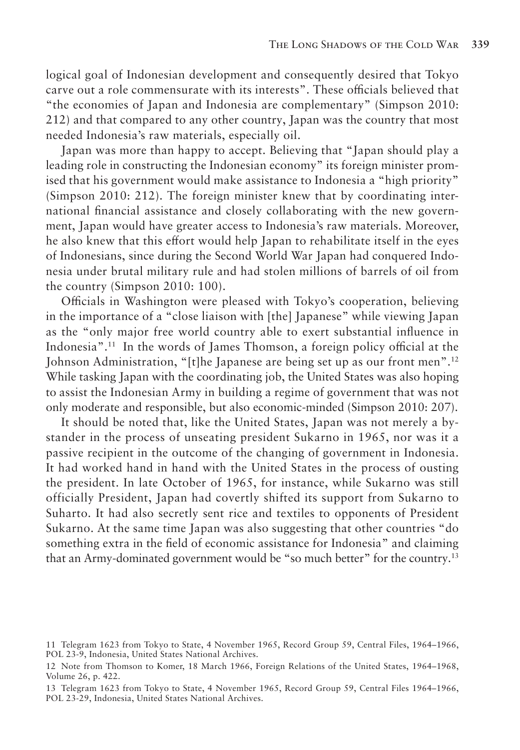logical goal of Indonesian development and consequently desired that Tokyo carve out a role commensurate with its interests". These officials believed that "the economies of Japan and Indonesia are complementary" (Simpson 2010: 212) and that compared to any other country, Japan was the country that most needed Indonesia's raw materials, especially oil.

Japan was more than happy to accept. Believing that "Japan should play a leading role in constructing the Indonesian economy" its foreign minister promised that his government would make assistance to Indonesia a "high priority" (Simpson 2010: 212). The foreign minister knew that by coordinating international financial assistance and closely collaborating with the new government, Japan would have greater access to Indonesia's raw materials. Moreover, he also knew that this effort would help Japan to rehabilitate itself in the eyes of Indonesians, since during the Second World War Japan had conquered Indonesia under brutal military rule and had stolen millions of barrels of oil from the country (Simpson 2010: 100).

Officials in Washington were pleased with Tokyo's cooperation, believing in the importance of a "close liaison with [the] Japanese" while viewing Japan as the "only major free world country able to exert substantial influence in Indonesia".11 In the words of James Thomson, a foreign policy official at the Johnson Administration, "[t]he Japanese are being set up as our front men".12 While tasking Japan with the coordinating job, the United States was also hoping to assist the Indonesian Army in building a regime of government that was not only moderate and responsible, but also economic-minded (Simpson 2010: 207).

It should be noted that, like the United States, Japan was not merely a bystander in the process of unseating president Sukarno in 1965, nor was it a passive recipient in the outcome of the changing of government in Indonesia. It had worked hand in hand with the United States in the process of ousting the president. In late October of 1965, for instance, while Sukarno was still officially President, Japan had covertly shifted its support from Sukarno to Suharto. It had also secretly sent rice and textiles to opponents of President Sukarno. At the same time Japan was also suggesting that other countries "do something extra in the field of economic assistance for Indonesia" and claiming that an Army-dominated government would be "so much better" for the country.13

<sup>11</sup> Telegram 1623 from Tokyo to State, 4 November 1965, Record Group 59, Central Files, 1964–1966, POL 23-9, Indonesia, United States National Archives.

<sup>12</sup> Note from Thomson to Komer, 18 March 1966, Foreign Relations of the United States, 1964–1968, Volume 26, p. 422.

<sup>13</sup> Telegram 1623 from Tokyo to State, 4 November 1965, Record Group 59, Central Files 1964–1966, POL 23-29, Indonesia, United States National Archives.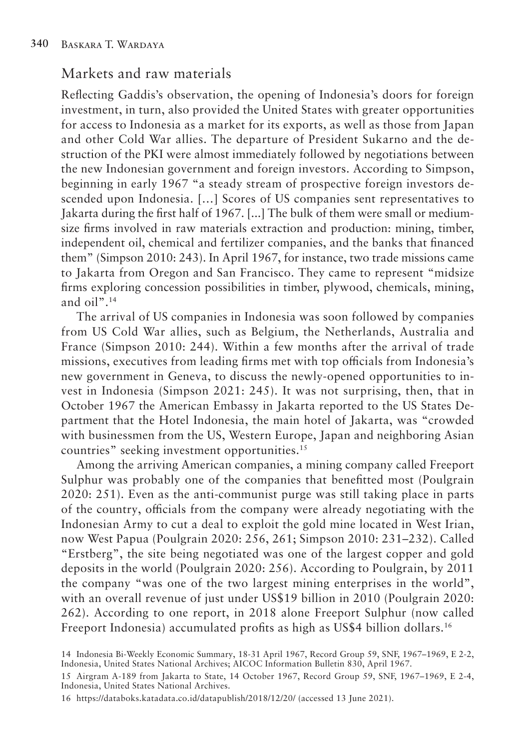#### Markets and raw materials

Reflecting Gaddis's observation, the opening of Indonesia's doors for foreign investment, in turn, also provided the United States with greater opportunities for access to Indonesia as a market for its exports, as well as those from Japan and other Cold War allies. The departure of President Sukarno and the destruction of the PKI were almost immediately followed by negotiations between the new Indonesian government and foreign investors. According to Simpson, beginning in early 1967 "a steady stream of prospective foreign investors descended upon Indonesia. […] Scores of US companies sent representatives to Jakarta during the first half of 1967. [...] The bulk of them were small or mediumsize firms involved in raw materials extraction and production: mining, timber, independent oil, chemical and fertilizer companies, and the banks that financed them" (Simpson 2010: 243). In April 1967, for instance, two trade missions came to Jakarta from Oregon and San Francisco. They came to represent "midsize firms exploring concession possibilities in timber, plywood, chemicals, mining, and oil".14

The arrival of US companies in Indonesia was soon followed by companies from US Cold War allies, such as Belgium, the Netherlands, Australia and France (Simpson 2010: 244). Within a few months after the arrival of trade missions, executives from leading firms met with top officials from Indonesia's new government in Geneva, to discuss the newly-opened opportunities to invest in Indonesia (Simpson 2021: 245). It was not surprising, then, that in October 1967 the American Embassy in Jakarta reported to the US States Department that the Hotel Indonesia, the main hotel of Jakarta, was "crowded with businessmen from the US, Western Europe, Japan and neighboring Asian countries" seeking investment opportunities.15

Among the arriving American companies, a mining company called Freeport Sulphur was probably one of the companies that benefitted most (Poulgrain 2020: 251). Even as the anti-communist purge was still taking place in parts of the country, officials from the company were already negotiating with the Indonesian Army to cut a deal to exploit the gold mine located in West Irian, now West Papua (Poulgrain 2020: 256, 261; Simpson 2010: 231–232). Called "Erstberg", the site being negotiated was one of the largest copper and gold deposits in the world (Poulgrain 2020: 256). According to Poulgrain, by 2011 the company "was one of the two largest mining enterprises in the world", with an overall revenue of just under US\$19 billion in 2010 (Poulgrain 2020: 262). According to one report, in 2018 alone Freeport Sulphur (now called Freeport Indonesia) accumulated profits as high as US\$4 billion dollars.16

16 https://databoks.katadata.co.id/datapublish/2018/12/20/ (accessed 13 June 2021).

<sup>14</sup> Indonesia Bi-Weekly Economic Summary, 18-31 April 1967, Record Group 59, SNF, 1967–1969, E 2-2, Indonesia, United States National Archives; AICOC Information Bulletin 830, April 1967.

<sup>15</sup> Airgram A-189 from Jakarta to State, 14 October 1967, Record Group 59, SNF, 1967–1969, E 2-4, Indonesia, United States National Archives.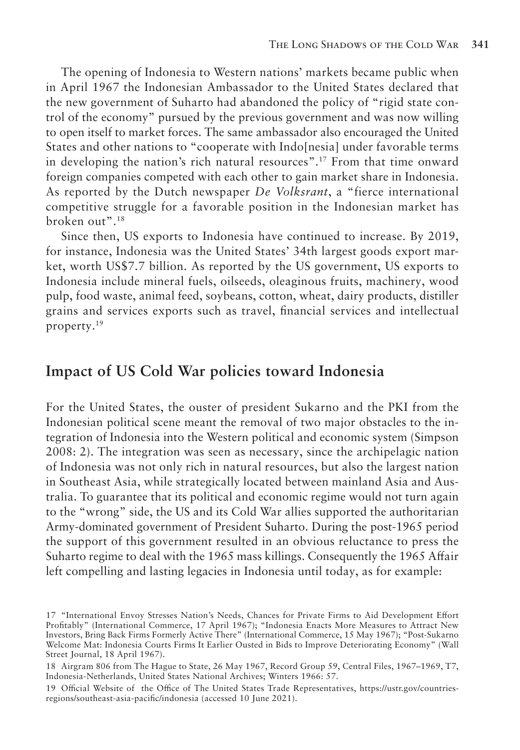The opening of Indonesia to Western nations' markets became public when in April 1967 the Indonesian Ambassador to the United States declared that the new government of Suharto had abandoned the policy of "rigid state control of the economy" pursued by the previous government and was now willing to open itself to market forces. The same ambassador also encouraged the United States and other nations to "cooperate with Indo[nesia] under favorable terms in developing the nation's rich natural resources".17 From that time onward foreign companies competed with each other to gain market share in Indonesia. As reported by the Dutch newspaper *De Volksrant*, a "fierce international competitive struggle for a favorable position in the Indonesian market has broken out".18

Since then, US exports to Indonesia have continued to increase. By 2019, for instance, Indonesia was the United States' 34th largest goods export market, worth US\$7.7 billion. As reported by the US government, US exports to Indonesia include mineral fuels, oilseeds, oleaginous fruits, machinery, wood pulp, food waste, animal feed, soybeans, cotton, wheat, dairy products, distiller grains and services exports such as travel, financial services and intellectual property.19

#### **Impact of US Cold War policies toward Indonesia**

For the United States, the ouster of president Sukarno and the PKI from the Indonesian political scene meant the removal of two major obstacles to the integration of Indonesia into the Western political and economic system (Simpson 2008: 2). The integration was seen as necessary, since the archipelagic nation of Indonesia was not only rich in natural resources, but also the largest nation in Southeast Asia, while strategically located between mainland Asia and Australia. To guarantee that its political and economic regime would not turn again to the "wrong" side, the US and its Cold War allies supported the authoritarian Army-dominated government of President Suharto. During the post-1965 period the support of this government resulted in an obvious reluctance to press the Suharto regime to deal with the 1965 mass killings. Consequently the 1965 Affair left compelling and lasting legacies in Indonesia until today, as for example:

<sup>17</sup> "International Envoy Stresses Nation's Needs, Chances for Private Firms to Aid Development Effort Profitably" (International Commerce, 17 April 1967); "Indonesia Enacts More Measures to Attract New Investors, Bring Back Firms Formerly Active There" (International Commerce, 15 May 1967); "Post-Sukarno Welcome Mat: Indonesia Courts Firms It Earlier Ousted in Bids to Improve Deteriorating Economy" (Wall Street Journal, 18 April 1967).

<sup>18</sup> Airgram 806 from The Hague to State, 26 May 1967, Record Group 59, Central Files, 1967–1969, T7, Indonesia-Netherlands, United States National Archives; Winters 1966: 57.

<sup>19</sup> Official Website of the Office of The United States Trade Representatives, https://ustr.gov/countriesregions/southeast-asia-pacific/indonesia (accessed 10 June 2021).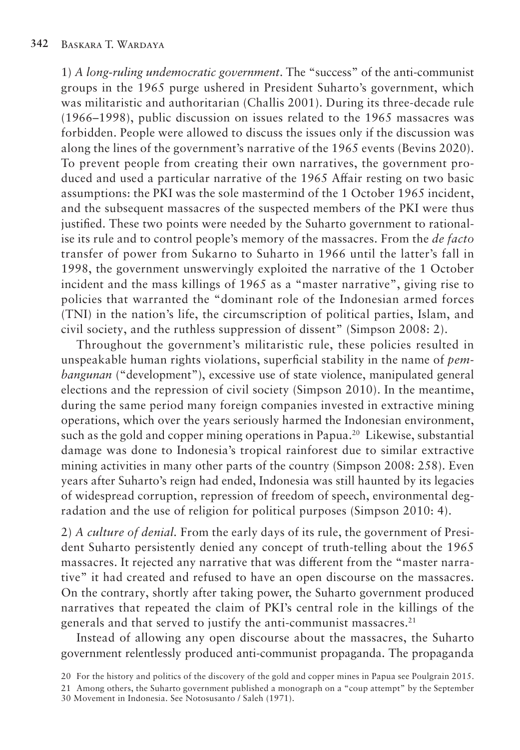1) *A long-ruling undemocratic government*. The "success" of the anti-communist groups in the 1965 purge ushered in President Suharto's government, which was militaristic and authoritarian (Challis 2001). During its three-decade rule (1966–1998), public discussion on issues related to the 1965 massacres was forbidden. People were allowed to discuss the issues only if the discussion was along the lines of the government's narrative of the 1965 events (Bevins 2020). To prevent people from creating their own narratives, the government produced and used a particular narrative of the 1965 Affair resting on two basic assumptions: the PKI was the sole mastermind of the 1 October 1965 incident, and the subsequent massacres of the suspected members of the PKI were thus justified. These two points were needed by the Suharto government to rationalise its rule and to control people's memory of the massacres. From the *de facto*  transfer of power from Sukarno to Suharto in 1966 until the latter's fall in 1998, the government unswervingly exploited the narrative of the 1 October incident and the mass killings of 1965 as a "master narrative", giving rise to policies that warranted the "dominant role of the Indonesian armed forces (TNI) in the nation's life, the circumscription of political parties, Islam, and civil society, and the ruthless suppression of dissent" (Simpson 2008: 2).

Throughout the government's militaristic rule, these policies resulted in unspeakable human rights violations, superficial stability in the name of *pembangunan* ("development"), excessive use of state violence, manipulated general elections and the repression of civil society (Simpson 2010). In the meantime, during the same period many foreign companies invested in extractive mining operations, which over the years seriously harmed the Indonesian environment, such as the gold and copper mining operations in Papua.<sup>20</sup> Likewise, substantial damage was done to Indonesia's tropical rainforest due to similar extractive mining activities in many other parts of the country (Simpson 2008: 258). Even years after Suharto's reign had ended, Indonesia was still haunted by its legacies of widespread corruption, repression of freedom of speech, environmental degradation and the use of religion for political purposes (Simpson 2010: 4).

2) *A culture of denial.* From the early days of its rule, the government of President Suharto persistently denied any concept of truth-telling about the 1965 massacres. It rejected any narrative that was different from the "master narrative" it had created and refused to have an open discourse on the massacres. On the contrary, shortly after taking power, the Suharto government produced narratives that repeated the claim of PKI's central role in the killings of the generals and that served to justify the anti-communist massacres.<sup>21</sup>

Instead of allowing any open discourse about the massacres, the Suharto government relentlessly produced anti-communist propaganda. The propaganda

<sup>20</sup> For the history and politics of the discovery of the gold and copper mines in Papua see Poulgrain 2015.

<sup>21</sup> Among others, the Suharto government published a monograph on a "coup attempt" by the September 30 Movement in Indonesia. See Notosusanto / Saleh (1971).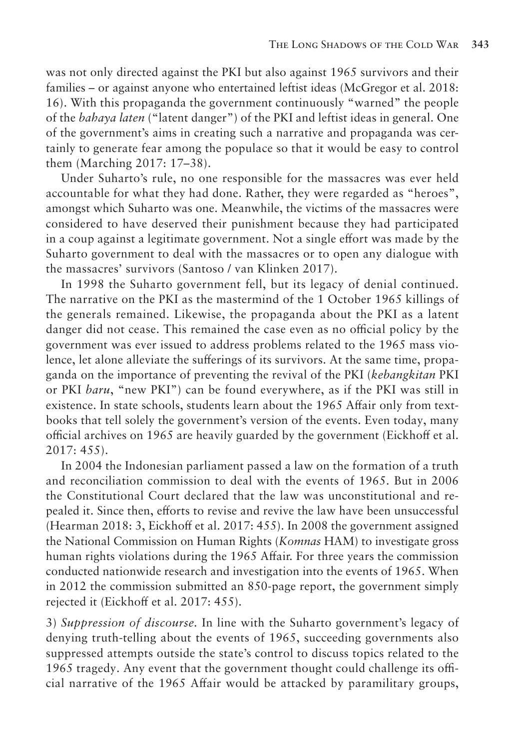was not only directed against the PKI but also against 1965 survivors and their families – or against anyone who entertained leftist ideas (McGregor et al. 2018: 16). With this propaganda the government continuously "warned" the people of the *bahaya laten* ("latent danger") of the PKI and leftist ideas in general. One of the government's aims in creating such a narrative and propaganda was certainly to generate fear among the populace so that it would be easy to control them (Marching 2017: 17–38).

Under Suharto's rule, no one responsible for the massacres was ever held accountable for what they had done. Rather, they were regarded as "heroes", amongst which Suharto was one. Meanwhile, the victims of the massacres were considered to have deserved their punishment because they had participated in a coup against a legitimate government. Not a single effort was made by the Suharto government to deal with the massacres or to open any dialogue with the massacres' survivors (Santoso / van Klinken 2017).

In 1998 the Suharto government fell, but its legacy of denial continued. The narrative on the PKI as the mastermind of the 1 October 1965 killings of the generals remained. Likewise, the propaganda about the PKI as a latent danger did not cease. This remained the case even as no official policy by the government was ever issued to address problems related to the 1965 mass violence, let alone alleviate the sufferings of its survivors. At the same time, propaganda on the importance of preventing the revival of the PKI (*kebangkitan* PKI or PKI *baru*, "new PKI") can be found everywhere, as if the PKI was still in existence. In state schools, students learn about the 1965 Affair only from textbooks that tell solely the government's version of the events. Even today, many official archives on 1965 are heavily guarded by the government (Eickhoff et al. 2017: 455).

In 2004 the Indonesian parliament passed a law on the formation of a truth and reconciliation commission to deal with the events of 1965. But in 2006 the Constitutional Court declared that the law was unconstitutional and repealed it. Since then, efforts to revise and revive the law have been unsuccessful (Hearman 2018: 3, Eickhoff et al. 2017: 455). In 2008 the government assigned the National Commission on Human Rights (*Komnas* HAM) to investigate gross human rights violations during the 1965 Affair. For three years the commission conducted nationwide research and investigation into the events of 1965. When in 2012 the commission submitted an 850-page report, the government simply rejected it (Eickhoff et al. 2017: 455).

3) *Suppression of discourse.* In line with the Suharto government's legacy of denying truth-telling about the events of 1965, succeeding governments also suppressed attempts outside the state's control to discuss topics related to the 1965 tragedy. Any event that the government thought could challenge its official narrative of the 1965 Affair would be attacked by paramilitary groups,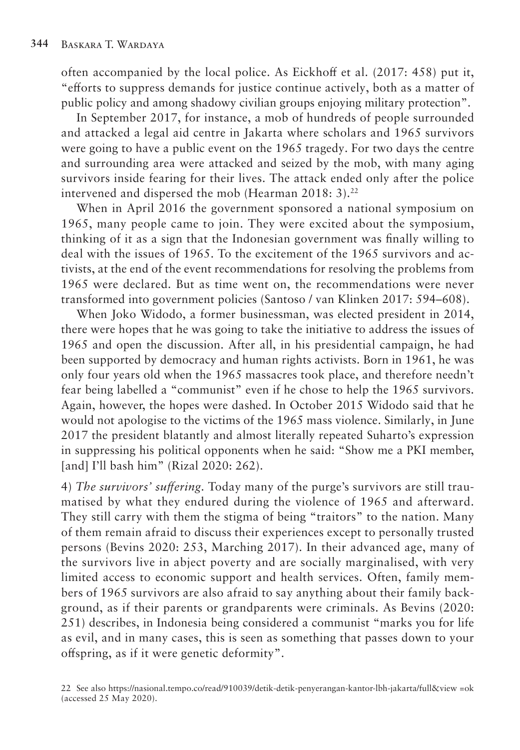often accompanied by the local police. As Eickhoff et al. (2017: 458) put it, "efforts to suppress demands for justice continue actively, both as a matter of public policy and among shadowy civilian groups enjoying military protection".

In September 2017, for instance, a mob of hundreds of people surrounded and attacked a legal aid centre in Jakarta where scholars and 1965 survivors were going to have a public event on the 1965 tragedy. For two days the centre and surrounding area were attacked and seized by the mob, with many aging survivors inside fearing for their lives. The attack ended only after the police intervened and dispersed the mob (Hearman 2018: 3).<sup>22</sup>

When in April 2016 the government sponsored a national symposium on 1965, many people came to join. They were excited about the symposium, thinking of it as a sign that the Indonesian government was finally willing to deal with the issues of 1965. To the excitement of the 1965 survivors and activists, at the end of the event recommendations for resolving the problems from 1965 were declared. But as time went on, the recommendations were never transformed into government policies (Santoso / van Klinken 2017: 594–608).

When Joko Widodo, a former businessman, was elected president in 2014, there were hopes that he was going to take the initiative to address the issues of 1965 and open the discussion. After all, in his presidential campaign, he had been supported by democracy and human rights activists. Born in 1961, he was only four years old when the 1965 massacres took place, and therefore needn't fear being labelled a "communist" even if he chose to help the 1965 survivors. Again, however, the hopes were dashed. In October 2015 Widodo said that he would not apologise to the victims of the 1965 mass violence. Similarly, in June 2017 the president blatantly and almost literally repeated Suharto's expression in suppressing his political opponents when he said: "Show me a PKI member, [and] I'll bash him" (Rizal 2020: 262).

4) *The survivors' suffering.* Today many of the purge's survivors are still traumatised by what they endured during the violence of 1965 and afterward. They still carry with them the stigma of being "traitors" to the nation. Many of them remain afraid to discuss their experiences except to personally trusted persons (Bevins 2020: 253, Marching 2017). In their advanced age, many of the survivors live in abject poverty and are socially marginalised, with very limited access to economic support and health services. Often, family members of 1965 survivors are also afraid to say anything about their family background, as if their parents or grandparents were criminals. As Bevins (2020: 251) describes, in Indonesia being considered a communist "marks you for life as evil, and in many cases, this is seen as something that passes down to your offspring, as if it were genetic deformity".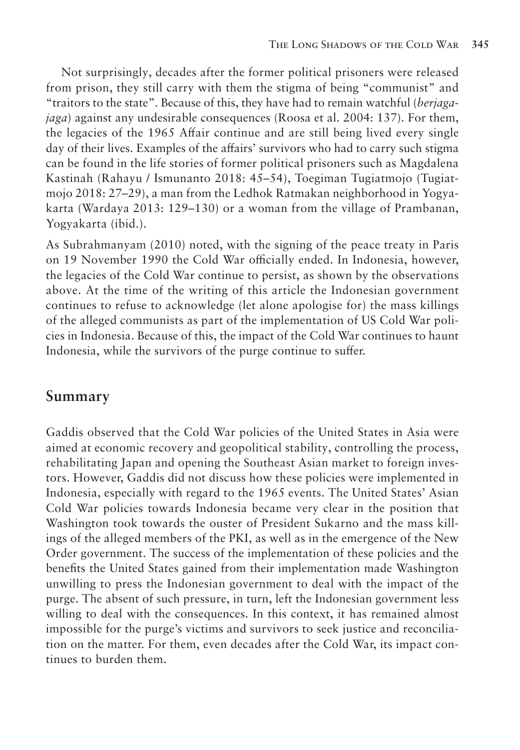Not surprisingly, decades after the former political prisoners were released from prison, they still carry with them the stigma of being "communist" and "traitors to the state". Because of this, they have had to remain watchful (*berjagajaga*) against any undesirable consequences (Roosa et al. 2004: 137). For them, the legacies of the 1965 Affair continue and are still being lived every single day of their lives. Examples of the affairs' survivors who had to carry such stigma can be found in the life stories of former political prisoners such as Magdalena Kastinah (Rahayu / Ismunanto 2018: 45–54), Toegiman Tugiatmojo (Tugiatmojo 2018: 27–29), a man from the Ledhok Ratmakan neighborhood in Yogyakarta (Wardaya 2013: 129–130) or a woman from the village of Prambanan, Yogyakarta (ibid.).

As Subrahmanyam (2010) noted, with the signing of the peace treaty in Paris on 19 November 1990 the Cold War officially ended. In Indonesia, however, the legacies of the Cold War continue to persist, as shown by the observations above. At the time of the writing of this article the Indonesian government continues to refuse to acknowledge (let alone apologise for) the mass killings of the alleged communists as part of the implementation of US Cold War policies in Indonesia. Because of this, the impact of the Cold War continues to haunt Indonesia, while the survivors of the purge continue to suffer.

#### **Summary**

Gaddis observed that the Cold War policies of the United States in Asia were aimed at economic recovery and geopolitical stability, controlling the process, rehabilitating Japan and opening the Southeast Asian market to foreign investors. However, Gaddis did not discuss how these policies were implemented in Indonesia, especially with regard to the 1965 events. The United States' Asian Cold War policies towards Indonesia became very clear in the position that Washington took towards the ouster of President Sukarno and the mass killings of the alleged members of the PKI, as well as in the emergence of the New Order government. The success of the implementation of these policies and the benefits the United States gained from their implementation made Washington unwilling to press the Indonesian government to deal with the impact of the purge. The absent of such pressure, in turn, left the Indonesian government less willing to deal with the consequences. In this context, it has remained almost impossible for the purge's victims and survivors to seek justice and reconciliation on the matter. For them, even decades after the Cold War, its impact continues to burden them.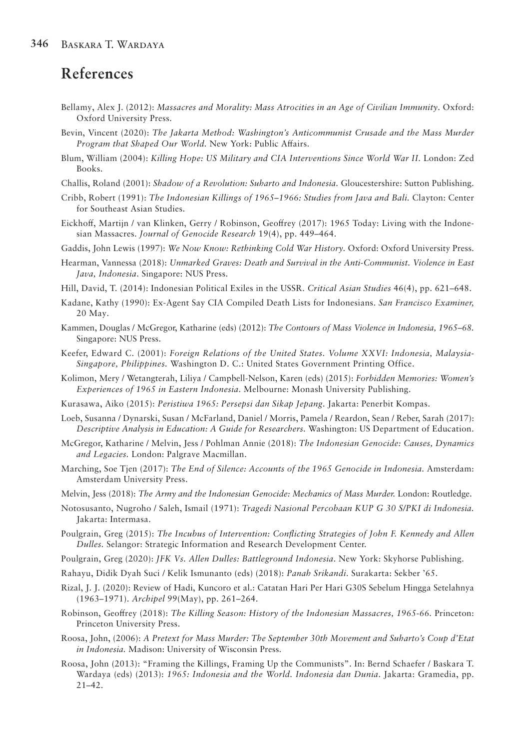## **References**

- Bellamy, Alex J. (2012): *Massacres and Morality: Mass Atrocities in an Age of Civilian Immunity*. Oxford: Oxford University Press.
- Bevin, Vincent (2020): *The Jakarta Method: Washington's Anticommunist Crusade and the Mass Murder Program that Shaped Our World.* New York: Public Affairs.
- Blum, William (2004): *Killing Hope: US Military and CIA Interventions Since World War II.* London: Zed Books.
- Challis, Roland (2001): *Shadow of a Revolution: Suharto and Indonesia.* Gloucestershire: Sutton Publishing.
- Cribb, Robert (1991): *The Indonesian Killings of 1965–1966: Studies from Java and Bali.* Clayton: Center for Southeast Asian Studies.
- Eickhoff, Martijn / van Klinken, Gerry / Robinson, Geoffrey (2017): 1965 Today: Living with the Indonesian Massacres. *Journal of Genocide Research* 19(4), pp. 449–464.
- Gaddis, John Lewis (1997): *We Now Know: Rethinking Cold War History.* Oxford: Oxford University Press.
- Hearman, Vannessa (2018): *Unmarked Graves: Death and Survival in the Anti-Communist. Violence in East Java, Indonesia*. Singapore: NUS Press.
- Hill, David, T. (2014): Indonesian Political Exiles in the USSR. *Critical Asian Studies* 46(4), pp. 621–648.
- Kadane, Kathy (1990): Ex-Agent Say CIA Compiled Death Lists for Indonesians. *San Francisco Examiner,*  20 May.
- Kammen, Douglas / McGregor, Katharine (eds) (2012): *The Contours of Mass Violence in Indonesia, 1965–68.*  Singapore: NUS Press.
- Keefer, Edward C. (2001): *Foreign Relations of the United States. Volume XXVI: Indonesia, Malaysia-Singapore, Philippines.* Washington D. C.: United States Government Printing Office.
- Kolimon, Mery / Wetangterah, Liliya / Campbell-Nelson, Karen (eds) (2015): *Forbidden Memories: Women's Experiences of 1965 in Eastern Indonesia*. Melbourne: Monash University Publishing.
- Kurasawa, Aiko (2015): *Peristiwa 1965: Persepsi dan Sikap Jepang*. Jakarta: Penerbit Kompas.
- Loeb, Susanna / Dynarski, Susan / McFarland, Daniel / Morris, Pamela / Reardon, Sean / Reber, Sarah (2017): *Descriptive Analysis in Education: A Guide for Researchers.* Washington: US Department of Education.
- McGregor, Katharine / Melvin, Jess / Pohlman Annie (2018): *The Indonesian Genocide: Causes, Dynamics and Legacies.* London: Palgrave Macmillan.
- Marching, Soe Tjen (2017): *The End of Silence: Accounts of the 1965 Genocide in Indonesia.* Amsterdam: Amsterdam University Press.
- Melvin, Jess (2018): *The Army and the Indonesian Genocide: Mechanics of Mass Murder.* London: Routledge.
- Notosusanto, Nugroho / Saleh, Ismail (1971): *Tragedi Nasional Percobaan KUP G 30 S/PKI di Indonesia.*  Jakarta: Intermasa.
- Poulgrain, Greg (2015): *The Incubus of Intervention: Conflicting Strategies of John F. Kennedy and Allen Dulles.* Selangor: Strategic Information and Research Development Center.
- Poulgrain, Greg (2020): *JFK Vs. Allen Dulles: Battleground Indonesia*. New York: Skyhorse Publishing.
- Rahayu, Didik Dyah Suci / Kelik Ismunanto (eds) (2018): *Panah Srikandi*. Surakarta: Sekber '65.
- Rizal, J. J. (2020): Review of Hadi, Kuncoro et al.: Catatan Hari Per Hari G30S Sebelum Hingga Setelahnya (1963–1971). *Archipel* 99(May), pp. 261–264.
- Robinson, Geoffrey (2018): *The Killing Season: History of the Indonesian Massacres, 1965-66.* Princeton: Princeton University Press.
- Roosa, John, (2006): *A Pretext for Mass Murder: The September 30th Movement and Suharto's Coup d'Etat in Indonesia.* Madison: University of Wisconsin Press.
- Roosa, John (2013): "Framing the Killings, Framing Up the Communists". In: Bernd Schaefer / Baskara T. Wardaya (eds) (2013): *1965: Indonesia and the World. Indonesia dan Dunia*. Jakarta: Gramedia, pp. 21–42.